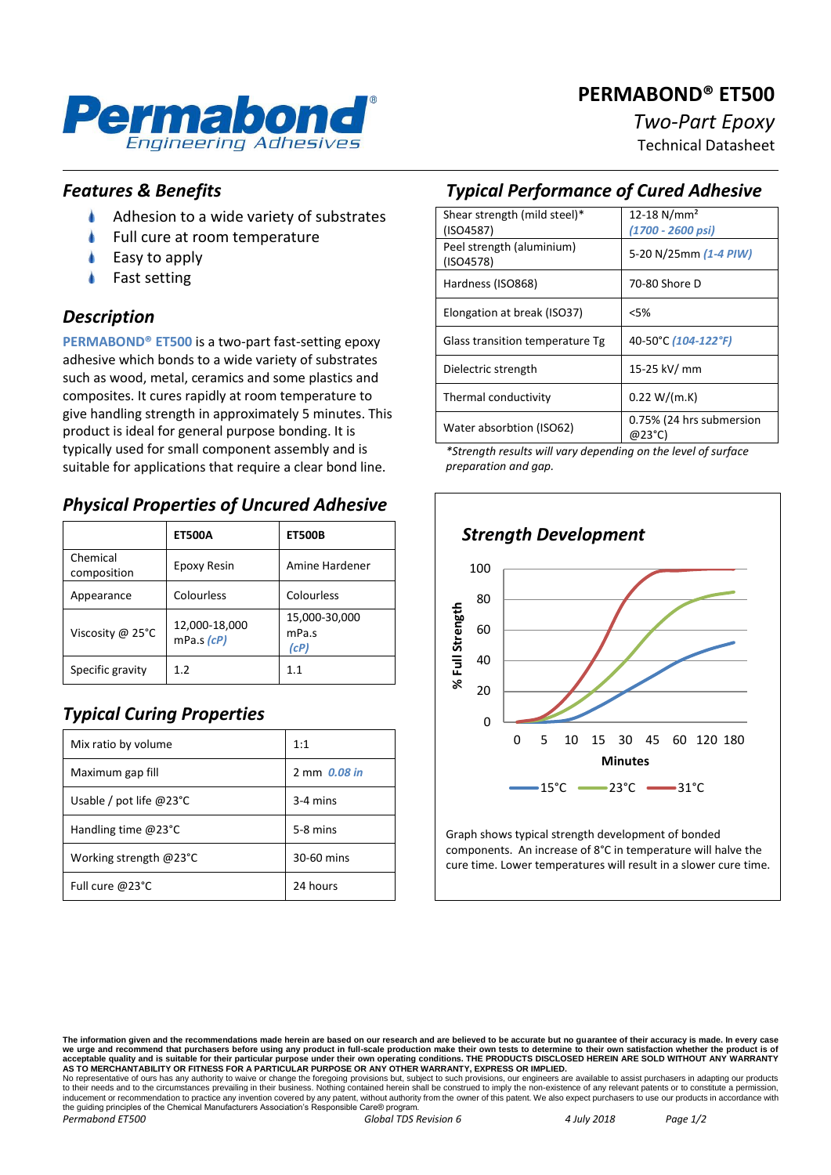#### **PERMABOND® ET500**



# *Two-Part Epoxy*

Technical Datasheet

#### *Features & Benefits*

- ۸ Adhesion to a wide variety of substrates
- Full cure at room temperature
- Easy to apply
- Fast setting

#### *Description*

**PERMABOND® ET500** is a two-part fast-setting epoxy adhesive which bonds to a wide variety of substrates such as wood, metal, ceramics and some plastics and composites. It cures rapidly at room temperature to give handling strength in approximately 5 minutes. This product is ideal for general purpose bonding. It is typically used for small component assembly and is suitable for applications that require a clear bond line.

#### *Physical Properties of Uncured Adhesive*

|                         | <b>ET500A</b>                     | <b>ET500B</b>                  |
|-------------------------|-----------------------------------|--------------------------------|
| Chemical<br>composition | Epoxy Resin                       | Amine Hardener                 |
| Appearance              | Colourless                        | Colourless                     |
| Viscosity @ 25°C        | 12,000-18,000<br>$mPa.s$ ( $cP$ ) | 15,000-30,000<br>mPa.s<br>(cP) |
| Specific gravity        | 1 <sub>2</sub>                    | 11                             |

## *Typical Curing Properties*

| Mix ratio by volume                | 1:1          |
|------------------------------------|--------------|
| Maximum gap fill                   | 2 mm 0.08 in |
| Usable / pot life @23 $^{\circ}$ C | $3-4$ mins   |
| Handling time $@23°C$              | 5-8 mins     |
| Working strength @23°C             | 30-60 mins   |
| Full cure @23°C                    | 24 hours     |

### *Typical Performance of Cured Adhesive*

| Shear strength (mild steel)*    | 12-18 $N/mm^2$           |
|---------------------------------|--------------------------|
| (ISO4587)                       | (1700 - 2600 psi)        |
| Peel strength (aluminium)       | 5-20 N/25mm (1-4 PIW)    |
| (ISO4578)                       |                          |
| Hardness (ISO868)               | 70-80 Shore D            |
|                                 |                          |
| Elongation at break (ISO37)     | <5%                      |
| Glass transition temperature Tg | 40-50°C (104-122°F)      |
| Dielectric strength             | 15-25 kV/ mm             |
|                                 |                          |
| Thermal conductivity            | 0.22 W/(m.K)             |
|                                 |                          |
| Water absorbtion (ISO62)        | 0.75% (24 hrs submersion |
|                                 | @23°C)                   |

*\*Strength results will vary depending on the level of surface preparation and gap.*



Graph shows typical strength development of bonded components. An increase of 8°C in temperature will halve the cure time. Lower temperatures will result in a slower cure time.

The information given and the recommendations made herein are based on our research and are believed to be accurate but no guarantee of their accuracy is made. In every case<br>we urge and recommend that purchasers before usi No representative of ours has any authority to waive or change the foregoing provisions but, subject to such provisions, our engineers are available to assist purchasers in adapting our products<br>to their needs and to the c the guiding principles of the Chemical Manufacturers Association's Responsible Care® program. *Permabond ET500 Global TDS Revision 6 4 July 2018 Page 1/2*